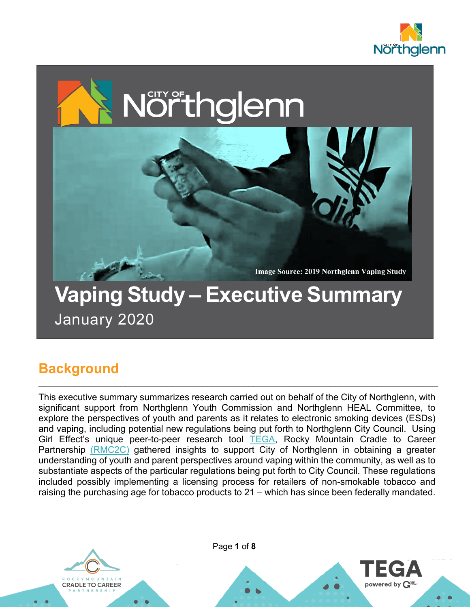

powered by  $\mathbf{G}^{\text{\tiny{eff}}}_{\text{\tiny{free}}}$ 



January 2020

## **Background**

This executive summary summarizes research carried out on behalf of the City of Northglenn, with significant support from Northglenn Youth Commission and Northglenn HEAL Committee, to explore the perspectives of youth and parents as it relates to electronic smoking devices (ESDs) and vaping, including potential new regulations being put forth to Northglenn City Council. Using Girl Effect's unique peer-to-peer research tool TEGA, Rocky Mountain Cradle to Career Partnership (RMC2C) gathered insights to support City of Northglenn in obtaining a greater understanding of youth and parent perspectives around vaping within the community, as well as to substantiate aspects of the particular regulations being put forth to City Council. These regulations included possibly implementing a licensing process for retailers of non-smokable tobacco and raising the purchasing age for tobacco products to 21 – which has since been federally mandated.

 $\_$  , and the contribution of the contribution of  $\mathcal{L}_\mathcal{A}$  , and the contribution of  $\mathcal{L}_\mathcal{A}$ 



Page **1** of **8**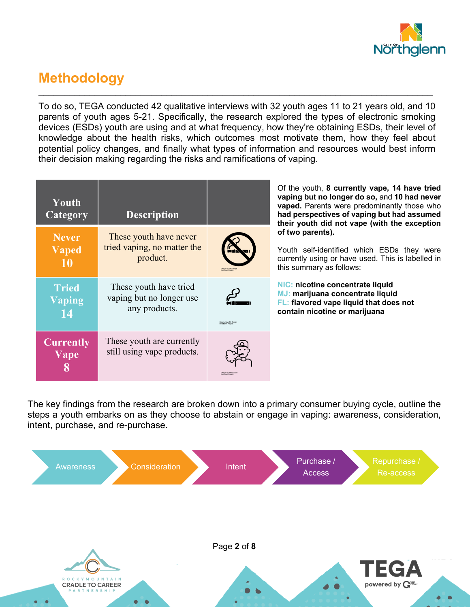

## **Methodology**

To do so, TEGA conducted 42 qualitative interviews with 32 youth ages 11 to 21 years old, and 10 parents of youth ages 5-21. Specifically, the research explored the types of electronic smoking devices (ESDs) youth are using and at what frequency, how they're obtaining ESDs, their level of knowledge about the health risks, which outcomes most motivate them, how they feel about potential policy changes, and finally what types of information and resources would best inform their decision making regarding the risks and ramifications of vaping.

 $\_$  , and the contribution of the contribution of the contribution of the contribution of  $\mathcal{L}_\text{max}$ 

| Youth<br>Category                  | <b>Description</b>                                                  |                                            | Of the you<br>vaping but<br>vaped. Pa<br>had persp<br>their yout    |
|------------------------------------|---------------------------------------------------------------------|--------------------------------------------|---------------------------------------------------------------------|
| <b>Never</b><br><b>Vaped</b><br>10 | These youth have never<br>tried vaping, no matter the<br>product.   | <b>Created by JRC Desig</b>                | of two par<br>Youth self<br>currently u<br>this summa               |
| <b>Tried</b><br>Vaping             | These youth have tried<br>vaping but no longer use<br>any products. | Created by JRC Design<br>men Moum Drovines | <b>NIC: nicot</b><br>MJ: mariju<br><b>FL: flavore</b><br>contain ni |
| <b>Currently</b><br>Vape           | These youth are currently<br>still using vape products.             | reated by Nikita Kozi                      |                                                                     |

th, 8 currently vape, 14 have tried **vaping but no longer do so,** and **10 had never**  rents were predominantly those who **had perspectives of vaping but had assumed their did not vape (with the exception ents).** 

f-identified which ESDs they were sing or have used. This is labelled in ary as follows:

**nichtary** concentrate liquid **MJ: marijuana concentrate liquid Exage liquid that does not contain nicotine or marijuana**

The key findings from the research are broken down into a primary consumer buying cycle, outline the steps a youth embarks on as they choose to abstain or engage in vaping: awareness, consideration, intent, purchase, and re-purchase.

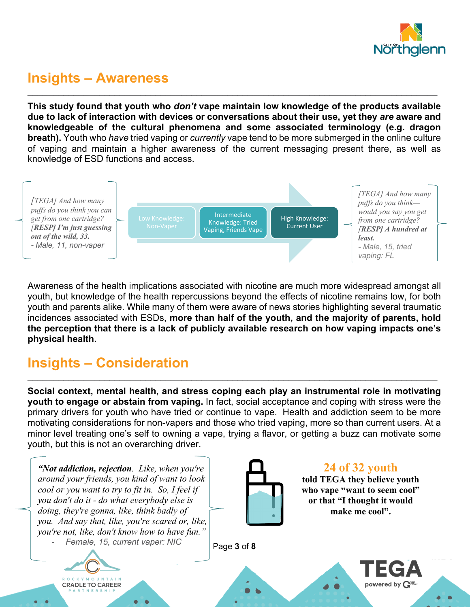

#### **Insights – Awareness**

**This study found that youth who** *don't* **vape maintain low knowledge of the products available due to lack of interaction with devices or conversations about their use, yet they** *are* **aware and knowledgeable of the cultural phenomena and some associated terminology (e.g. dragon breath).** Youth who *have* tried vaping or *currently* vape tend to be more submerged in the online culture of vaping and maintain a higher awareness of the current messaging present there, as well as knowledge of ESD functions and access.

 $\mathcal{L}_\mathcal{L} = \mathcal{L}_\mathcal{L} = \mathcal{L}_\mathcal{L} = \mathcal{L}_\mathcal{L} = \mathcal{L}_\mathcal{L} = \mathcal{L}_\mathcal{L} = \mathcal{L}_\mathcal{L} = \mathcal{L}_\mathcal{L} = \mathcal{L}_\mathcal{L} = \mathcal{L}_\mathcal{L} = \mathcal{L}_\mathcal{L} = \mathcal{L}_\mathcal{L} = \mathcal{L}_\mathcal{L} = \mathcal{L}_\mathcal{L} = \mathcal{L}_\mathcal{L} = \mathcal{L}_\mathcal{L} = \mathcal{L}_\mathcal{L}$ 



Awareness of the health implications associated with nicotine are much more widespread amongst all youth, but knowledge of the health repercussions beyond the effects of nicotine remains low, for both youth and parents alike. While many of them were aware of news stories highlighting several traumatic incidences associated with ESDs, **more than half of the youth, and the majority of parents, hold the perception that there is a lack of publicly available research on how vaping impacts one's physical health.**

# **Insights – Consideration**

**Social context, mental health, and stress coping each play an instrumental role in motivating youth to engage or abstain from vaping.** In fact, social acceptance and coping with stress were the primary drivers for youth who have tried or continue to vape. Health and addiction seem to be more motivating considerations for non-vapers and those who tried vaping, more so than current users. At a minor level treating one's self to owning a vape, trying a flavor, or getting a buzz can motivate some youth, but this is not an overarching driver.

 $\_$  ,  $\_$  ,  $\_$  ,  $\_$  ,  $\_$  ,  $\_$  ,  $\_$  ,  $\_$  ,  $\_$  ,  $\_$  ,  $\_$  ,  $\_$  ,  $\_$  ,  $\_$  ,  $\_$  ,  $\_$  ,  $\_$  ,  $\_$  ,  $\_$  ,  $\_$  ,  $\_$  ,  $\_$  ,  $\_$  ,  $\_$  ,  $\_$  ,  $\_$  ,  $\_$  ,  $\_$  ,  $\_$  ,  $\_$  ,  $\_$  ,  $\_$  ,  $\_$  ,  $\_$  ,  $\_$  ,  $\_$  ,  $\_$  ,

*"Not addiction, rejection. Like, when you're around your friends, you kind of want to look cool or you want to try to fit in. So, I feel if you don't do it - do what everybody else is doing, they're gonna, like, think badly of you. And say that, like, you're scared or, like, you're not, like, don't know how to have fun."* - *Female, 15, current vaper: NIC*





Page **3** of **8**

**24 of 32 youth**

**told TEGA they believe youth who vape "want to seem cool" or that "I thought it would make me cool".**

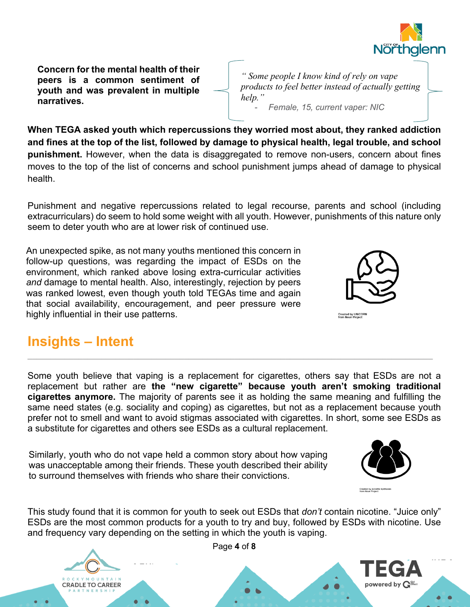

**Concern for the mental health of their peers is a common sentiment of youth and was prevalent in multiple narratives.**

*" Some people I know kind of rely on vape products to feel better instead of actually getting help."* - *Female, 15, current vaper: NIC*

**When TEGA asked youth which repercussions they worried most about, they ranked addiction and fines at the top of the list, followed by damage to physical health, legal trouble, and school punishment.** However, when the data is disaggregated to remove non-users, concern about fines moves to the top of the list of concerns and school punishment jumps ahead of damage to physical health.

Punishment and negative repercussions related to legal recourse, parents and school (including extracurriculars) do seem to hold some weight with all youth. However, punishments of this nature only seem to deter youth who are at lower risk of continued use.

An unexpected spike, as not many youths mentioned this concern in follow-up questions, was regarding the impact of ESDs on the environment, which ranked above losing extra-curricular activities *and* damage to mental health. Also, interestingly, rejection by peers was ranked lowest, even though youth told TEGAs time and again that social availability, encouragement, and peer pressure were highly influential in their use patterns.



## **Insights – Intent**

Some youth believe that vaping is a replacement for cigarettes, others say that ESDs are not a replacement but rather are **the "new cigarette" because youth aren't smoking traditional cigarettes anymore.** The majority of parents see it as holding the same meaning and fulfilling the same need states (e.g. sociality and coping) as cigarettes, but not as a replacement because youth prefer not to smell and want to avoid stigmas associated with cigarettes. In short, some see ESDs as a substitute for cigarettes and others see ESDs as a cultural replacement.

Similarly, youth who do not vape held a common story about how vaping was unacceptable among their friends. These youth described their ability to surround themselves with friends who share their convictions.



powered by

This study found that it is common for youth to seek out ESDs that *don't* contain nicotine. "Juice only" ESDs are the most common products for a youth to try and buy, followed by ESDs with nicotine. Use and frequency vary depending on the setting in which the youth is vaping.



Page **4** of **8**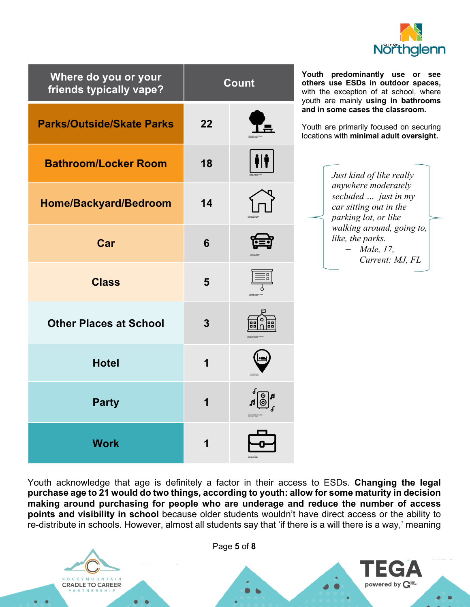

| Where do you or your<br>friends typically vape? | <b>Count</b>            |   |
|-------------------------------------------------|-------------------------|---|
| <b>Parks/Outside/Skate Parks</b>                | 22                      |   |
| <b>Bathroom/Locker Room</b>                     | 18                      |   |
| Home/Backyard/Bedroom                           | 14                      |   |
| Car                                             | 6                       |   |
| <b>Class</b>                                    | 5                       | 3 |
| <b>Other Places at School</b>                   | 3                       |   |
| <b>Hotel</b>                                    | 1                       |   |
| <b>Party</b>                                    | $\overline{\mathbf{1}}$ |   |
| Work                                            | 1                       |   |

**Youth predominantly use or see others use ESDs in outdoor spaces,**  with the exception of at school, where youth are mainly **using in bathrooms and in some cases the classroom.** 

Youth are primarily focused on securing locations with **minimal adult oversight.**

> *Just kind of like really anywhere moderately secluded … just in my car sitting out in the parking lot, or like walking around, going to, like, the parks.* – *Male, 17, Current: MJ, FL*

Youth acknowledge that age is definitely a factor in their access to ESDs. **Changing the legal purchase age to 21 would do two things, according to youth: allow for some maturity in decision making around purchasing for people who are underage and reduce the number of access points and visibility in school** because older students wouldn't have direct access or the ability to re-distribute in schools. However, almost all students say that 'if there is a will there is a way,' meaning

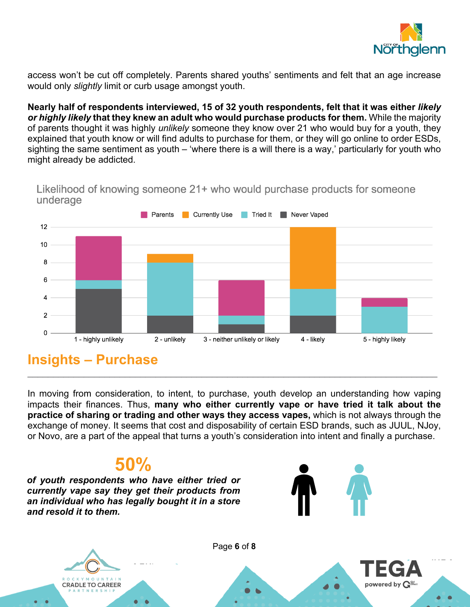

access won't be cut off completely. Parents shared youths' sentiments and felt that an age increase would only *slightly* limit or curb usage amongst youth.

**Nearly half of respondents interviewed, 15 of 32 youth respondents, felt that it was either** *likely or highly likely* **that they knew an adult who would purchase products for them.** While the majority of parents thought it was highly *unlikely* someone they know over 21 who would buy for a youth, they explained that youth know or will find adults to purchase for them, or they will go online to order ESDs, sighting the same sentiment as youth – 'where there is a will there is a way,' particularly for youth who might already be addicted.

Likelihood of knowing someone 21+ who would purchase products for someone underage



#### **Insights – Purchase**

In moving from consideration, to intent, to purchase, youth develop an understanding how vaping impacts their finances. Thus, **many who either currently vape or have tried it talk about the practice of sharing or trading and other ways they access vapes,** which is not always through the exchange of money. It seems that cost and disposability of certain ESD brands, such as JUUL, NJoy, or Novo, are a part of the appeal that turns a youth's consideration into intent and finally a purchase.

 $\mathcal{L}_\mathcal{L} = \mathcal{L}_\mathcal{L} = \mathcal{L}_\mathcal{L} = \mathcal{L}_\mathcal{L} = \mathcal{L}_\mathcal{L} = \mathcal{L}_\mathcal{L} = \mathcal{L}_\mathcal{L} = \mathcal{L}_\mathcal{L} = \mathcal{L}_\mathcal{L} = \mathcal{L}_\mathcal{L} = \mathcal{L}_\mathcal{L} = \mathcal{L}_\mathcal{L} = \mathcal{L}_\mathcal{L} = \mathcal{L}_\mathcal{L} = \mathcal{L}_\mathcal{L} = \mathcal{L}_\mathcal{L} = \mathcal{L}_\mathcal{L}$ 

# **50%**

*of youth respondents who have either tried or currently vape say they get their products from an individual who has legally bought it in a store and resold it to them.*



powered by  $\mathbf{G}^{\text{an}}$ 



Page **6** of **8**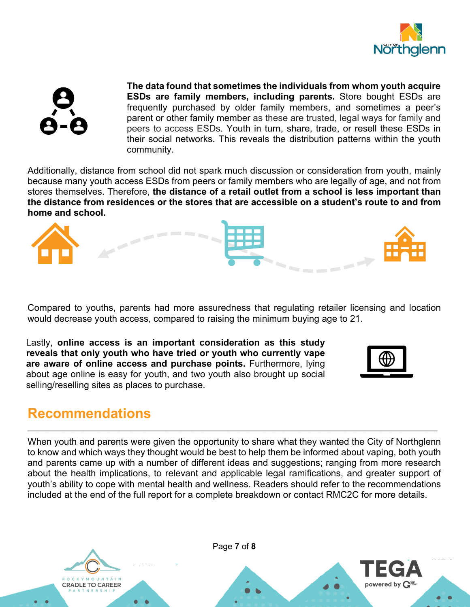



**The data found that sometimes the individuals from whom youth acquire ESDs are family members, including parents.** Store bought ESDs are frequently purchased by older family members, and sometimes a peer's parent or other family member as these are trusted, legal ways for family and peers to access ESDs. Youth in turn, share, trade, or resell these ESDs in their social networks. This reveals the distribution patterns within the youth community.

Additionally, distance from school did not spark much discussion or consideration from youth, mainly because many youth access ESDs from peers or family members who are legally of age, and not from stores themselves. Therefore, **the distance of a retail outlet from a school is less important than the distance from residences or the stores that are accessible on a student's route to and from home and school.**



Compared to youths, parents had more assuredness that regulating retailer licensing and location would decrease youth access, compared to raising the minimum buying age to 21.

Lastly, **online access is an important consideration as this study reveals that only youth who have tried or youth who currently vape are aware of online access and purchase points.** Furthermore, lying about age online is easy for youth, and two youth also brought up social selling/reselling sites as places to purchase.



#### **Recommendations**

When youth and parents were given the opportunity to share what they wanted the City of Northglenn to know and which ways they thought would be best to help them be informed about vaping, both youth and parents came up with a number of different ideas and suggestions; ranging from more research about the health implications, to relevant and applicable legal ramifications, and greater support of youth's ability to cope with mental health and wellness. Readers should refer to the recommendations included at the end of the full report for a complete breakdown or contact RMC2C for more details.

 $\_$  ,  $\_$  ,  $\_$  ,  $\_$  ,  $\_$  ,  $\_$  ,  $\_$  ,  $\_$  ,  $\_$  ,  $\_$  ,  $\_$  ,  $\_$  ,  $\_$  ,  $\_$  ,  $\_$  ,  $\_$  ,  $\_$  ,  $\_$  ,  $\_$  ,  $\_$  ,  $\_$  ,  $\_$  ,  $\_$  ,  $\_$  ,  $\_$  ,  $\_$  ,  $\_$  ,  $\_$  ,  $\_$  ,  $\_$  ,  $\_$  ,  $\_$  ,  $\_$  ,  $\_$  ,  $\_$  ,  $\_$  ,  $\_$  ,



Page **7** of **8**